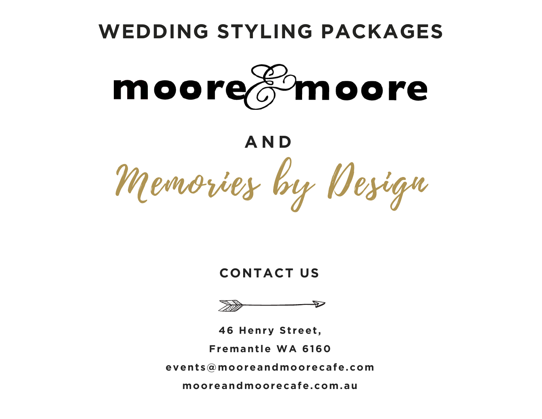

### **CONTACT US**



**46 Henry Street,** Fremantle WA 6160 events@mooreandmoorecafe.com mooreandmoorecafe.com.au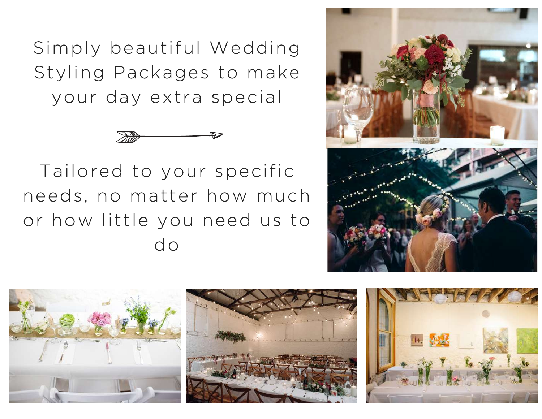Simply beautiful Wedding Styling Packages to make your day extra special



Tailored to your specific needs, no matter how much or how little you need us to do



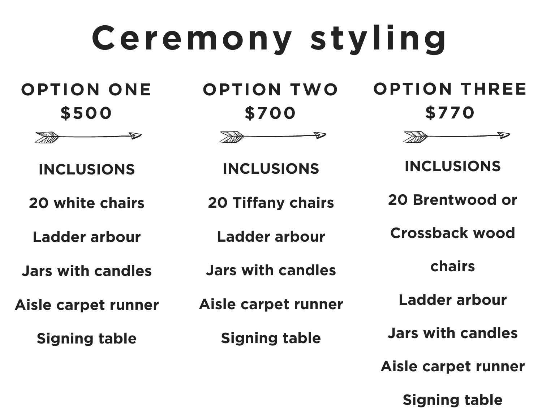# **Ceremony styling**

**OPTION ONE \$500**



**INCLUSIONS**

**20 white chairs**

**Ladder arbour**

**Jars with candles**

**Aisle carpet runner**

**Signing table**

**OPTION TWO \$700**



**INCLUSIONS**

**20 Tiffany chairs**

**Ladder arbour**

**Jars with candles**

**Aisle carpet runner**

**Signing table**

**OPTION THREE \$770**



**INCLUSIONS**

**20 Brentwood or**

**Crossback wood**

**chairs**

**Ladder arbour**

**Jars with candles**

**Aisle carpet runner**

**Signing table**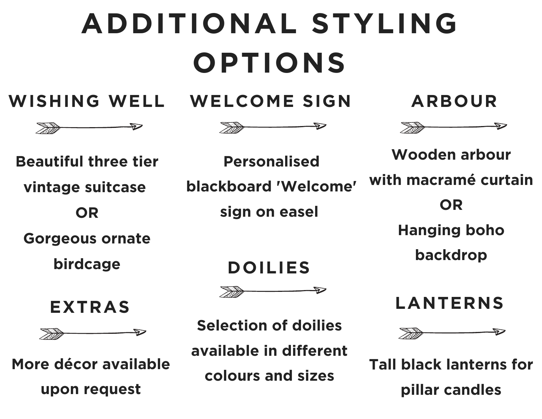# **ADDITIONAL STYLING OPTIONS**

**WISHING WELL WELCOME SIGN ARBOUR**





**Beautiful three tier**

**vintage suitcase**

**OR**

**Gorgeous ornate**

**birdcage**



 $\Rightarrow$ 

**More décor available upon request**

**Personalised blackboard 'Welcome' sign on easel**



**Selection of doilies**

**available in different colours and sizes**





**Wooden arbour with macramé curtain OR Hanging boho backdrop DOILIES**

**LANTERNS**



**Tall black lanterns for pillar candles**